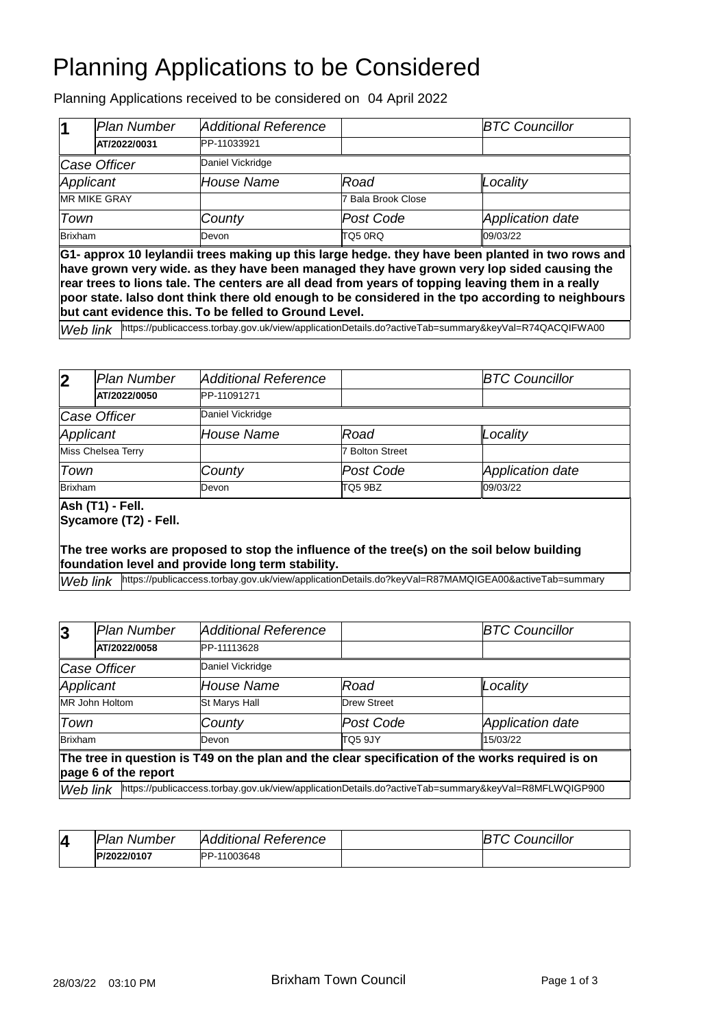# Planning Applications to be Considered

Planning Applications received to be considered on 04 April 2022

| $\vert$ 1           | Plan Number  | Additional Reference |                    | <b>BTC Councillor</b> |
|---------------------|--------------|----------------------|--------------------|-----------------------|
|                     | AT/2022/0031 | PP-11033921          |                    |                       |
|                     | Case Officer | Daniel Vickridge     |                    |                       |
| Applicant           |              | House Name           | Road               | Locality              |
| <b>MR MIKE GRAY</b> |              |                      | 7 Bala Brook Close |                       |
| Town                |              | County               | Post Code          | Application date      |
| <b>Brixham</b>      |              | Devon                | TQ5 0RQ            | 09/03/22              |

**G1- approx 10 leylandii trees making up this large hedge. they have been planted in two rows and have grown very wide. as they have been managed they have grown very lop sided causing the rear trees to lions tale. The centers are all dead from years of topping leaving them in a really poor state. Ialso dont think there old enough to be considered in the tpo according to neighbours but cant evidence this. To be felled to Ground Level.**

*Web link* <https://publicaccess.torbay.gov.uk/view/applicationDetails.do?activeTab=summary&keyVal=R74QACQIFWA00>

| $\overline{\mathbf{2}}$ | lPlan Number | Additional Reference |                 | <b>BTC Councillor</b> |
|-------------------------|--------------|----------------------|-----------------|-----------------------|
|                         | AT/2022/0050 | PP-11091271          |                 |                       |
|                         | Case Officer | Daniel Vickridge     |                 |                       |
| Applicant               |              | House Name           | Road            | Locality              |
| Miss Chelsea Terry      |              |                      | 7 Bolton Street |                       |
| Town                    |              | County               | Post Code       | Application date      |
| <b>Brixham</b>          |              | Devon                | TQ5 9BZ         | 09/03/22              |

### **Ash (T1) - Fell.**

**Sycamore (T2) - Fell.**

#### **The tree works are proposed to stop the influence of the tree(s) on the soil below building foundation level and provide long term stability.**

Web link <https://publicaccess.torbay.gov.uk/view/applicationDetails.do?keyVal=R87MAMQIGEA00&activeTab=summary>

| 3                                                                                               | Plan Number                                                                                                      | <b>Additional Reference</b> |                    | <b>BTC Councillor</b> |  |  |
|-------------------------------------------------------------------------------------------------|------------------------------------------------------------------------------------------------------------------|-----------------------------|--------------------|-----------------------|--|--|
|                                                                                                 | AT/2022/0058                                                                                                     | PP-11113628                 |                    |                       |  |  |
| Case Officer                                                                                    |                                                                                                                  | Daniel Vickridge            |                    |                       |  |  |
| Applicant                                                                                       |                                                                                                                  | House Name                  | Road               | Locality              |  |  |
|                                                                                                 | MR John Holtom                                                                                                   | St Marys Hall               | <b>Drew Street</b> |                       |  |  |
| Town                                                                                            |                                                                                                                  | County                      | Post Code          | Application date      |  |  |
| Brixham                                                                                         |                                                                                                                  | Devon                       | TO5 9JY            | 15/03/22              |  |  |
| The tree in question is T49 on the plan and the clear specification of the works required is on |                                                                                                                  |                             |                    |                       |  |  |
| page 6 of the report                                                                            |                                                                                                                  |                             |                    |                       |  |  |
|                                                                                                 | https://publicaccess.torbay.gov.uk/view/applicationDetails.do?activeTab=summary&keyVal=R8MFLWQIGP900<br>Web link |                             |                    |                       |  |  |

| 4 | Plan.<br>Number | <b>Additional Reference</b> | ouncillor |
|---|-----------------|-----------------------------|-----------|
|   | P/2022/0107     | PP-11003648                 |           |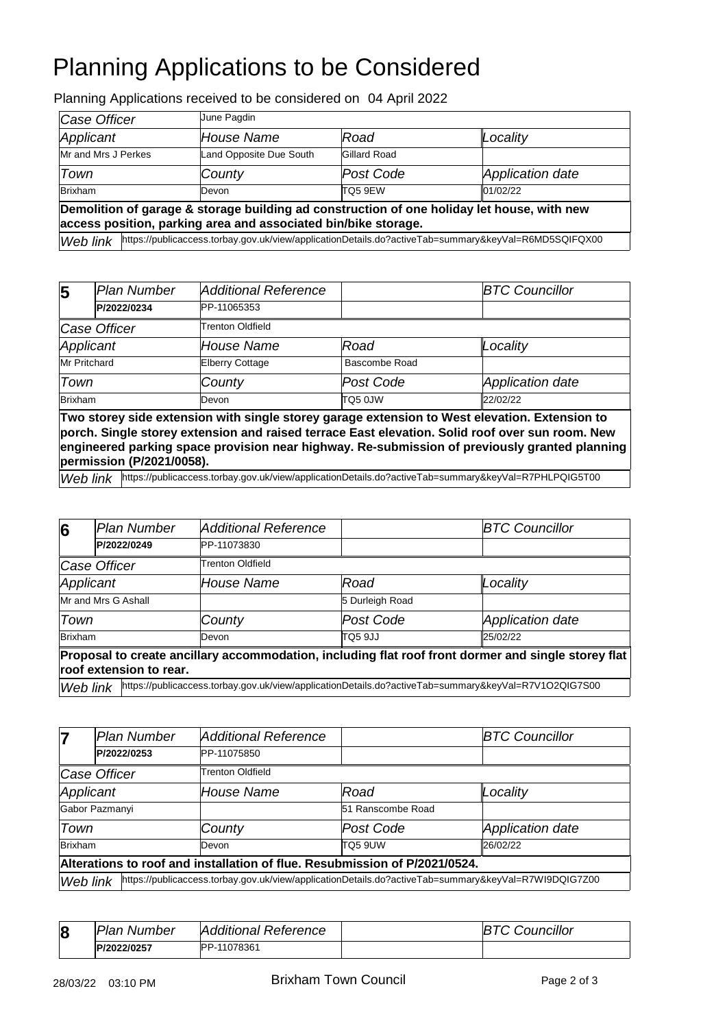# Planning Applications to be Considered

Planning Applications received to be considered on 04 April 2022

| Case Officer                                                                                                                                                 |  | June Pagdin             |                     |                  |  |
|--------------------------------------------------------------------------------------------------------------------------------------------------------------|--|-------------------------|---------------------|------------------|--|
| Applicant                                                                                                                                                    |  | House Name              | Road                | Locality         |  |
| Mr and Mrs J Perkes                                                                                                                                          |  | Land Opposite Due South | <b>Gillard Road</b> |                  |  |
| Town                                                                                                                                                         |  | County                  | Post Code           | Application date |  |
| <b>Brixham</b>                                                                                                                                               |  | Devon                   | TQ5 9EW             | 01/02/22         |  |
| Demolition of garage & storage building ad construction of one holiday let house, with new<br>access position, parking area and associated bin/bike storage. |  |                         |                     |                  |  |
| Web link https://publicaccess.torbay.gov.uk/view/applicationDetails.do?activeTab=summary&keyVal=R6MD5SQIFQX00                                                |  |                         |                     |                  |  |

| $\overline{\mathbf{5}}$ | lPlan Number | Additional Reference    |               | <b>BTC Councillor</b> |
|-------------------------|--------------|-------------------------|---------------|-----------------------|
|                         | P/2022/0234  | PP-11065353             |               |                       |
|                         | Case Officer | <b>Trenton Oldfield</b> |               |                       |
| Applicant               |              | <b>House Name</b>       | Road          | Locality              |
| Mr Pritchard            |              | <b>Elberry Cottage</b>  | Bascombe Road |                       |
| Town                    |              | County                  | Post Code     | Application date      |
| <b>Brixham</b>          |              | Devon                   | TQ5 0JW       | 22/02/22              |

**Two storey side extension with single storey garage extension to West elevation. Extension to porch. Single storey extension and raised terrace East elevation. Solid roof over sun room. New engineered parking space provision near highway. Re-submission of previously granted planning permission (P/2021/0058).**

Web link <https://publicaccess.torbay.gov.uk/view/applicationDetails.do?activeTab=summary&keyVal=R7PHLPQIG5T00>

| 6                                                                                                                              | Plan Number | <b>Additional Reference</b> |                                                                                                      | <b>BTC Councillor</b>   |  |  |
|--------------------------------------------------------------------------------------------------------------------------------|-------------|-----------------------------|------------------------------------------------------------------------------------------------------|-------------------------|--|--|
|                                                                                                                                | P/2022/0249 | PP-11073830                 |                                                                                                      |                         |  |  |
| Case Officer                                                                                                                   |             | <b>Trenton Oldfield</b>     |                                                                                                      |                         |  |  |
| Applicant                                                                                                                      |             | House Name                  | Road                                                                                                 | Locality                |  |  |
| Mr and Mrs G Ashall                                                                                                            |             |                             | 5 Durleigh Road                                                                                      |                         |  |  |
| Town                                                                                                                           |             | County                      | Post Code                                                                                            | <b>Application date</b> |  |  |
| <b>Brixham</b>                                                                                                                 |             | Devon                       | TQ5 9JJ                                                                                              | 25/02/22                |  |  |
| Proposal to create ancillary accommodation, including flat roof front dormer and single storey flat<br>roof extension to rear. |             |                             |                                                                                                      |                         |  |  |
| Web link                                                                                                                       |             |                             | https://publicaccess.torbay.gov.uk/view/applicationDetails.do?activeTab=summary&keyVal=R7V1O2QIG7S00 |                         |  |  |

| 7                                                                          | <b>Plan Number</b> | <b>Additional Reference</b>                                                                                      |                   | <b>BTC Councillor</b>   |  |
|----------------------------------------------------------------------------|--------------------|------------------------------------------------------------------------------------------------------------------|-------------------|-------------------------|--|
|                                                                            | P/2022/0253        | PP-11075850                                                                                                      |                   |                         |  |
| Case Officer                                                               |                    | Trenton Oldfield                                                                                                 |                   |                         |  |
| Applicant                                                                  |                    | House Name                                                                                                       | Road              | Locality                |  |
| Gabor Pazmanyi                                                             |                    |                                                                                                                  | 51 Ranscombe Road |                         |  |
| Town                                                                       |                    | County                                                                                                           | Post Code         | <b>Application date</b> |  |
| Brixham                                                                    |                    | Devon                                                                                                            | <b>TQ5 9UW</b>    | 26/02/22                |  |
| Alterations to roof and installation of flue. Resubmission of P/2021/0524. |                    |                                                                                                                  |                   |                         |  |
|                                                                            |                    | https://publicaccess.torbay.gov.uk/view/applicationDetails.do?activeTab=summary&keyVal=R7WI9DQIG7Z00<br>Web link |                   |                         |  |

| 8 | <b>Plan Number</b> | <b>Additional Reference</b> | <i><b>Councillor</b></i> |
|---|--------------------|-----------------------------|--------------------------|
|   | P/2022/0257        | <b>PP-11078361</b>          |                          |